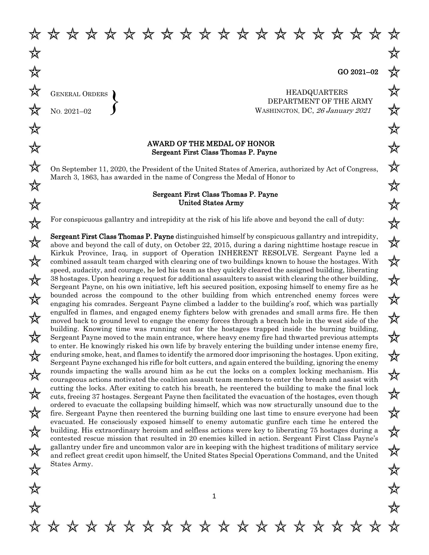GENERAL ORDERS  $\Bigg\}$ 

NO. 2021–02

\* \* \* \* \* \* \* \* \* \* \* \* \* \* \* \* \* \* \*

HEADQUARTERS DEPARTMENT OF THE ARMY WASHINGTON, DC, 26 January 2021

## AWARD OF THE MEDAL OF HONOR Sergeant First Class Thomas P. Payne

On September 11, 2020, the President of the United States of America, authorized by Act of Congress, March 3, 1863, has awarded in the name of Congress the Medal of Honor to

## Sergeant First Class Thomas P. Payne United States Army

For conspicuous gallantry and intrepidity at the risk of his life above and beyond the call of duty:

Sergeant First Class Thomas P. Payne distinguished himself by conspicuous gallantry and intrepidity, above and beyond the call of duty, on October 22, 2015, during a daring nighttime hostage rescue in Kirkuk Province, Iraq, in support of Operation INHERENT RESOLVE. Sergeant Payne led a combined assault team charged with clearing one of two buildings known to house the hostages. With speed, audacity, and courage, he led his team as they quickly cleared the assigned building, liberating 38 hostages. Upon hearing a request for additional assaulters to assist with clearing the other building, Sergeant Payne, on his own initiative, left his secured position, exposing himself to enemy fire as he bounded across the compound to the other building from which entrenched enemy forces were engaging his comrades. Sergeant Payne climbed a ladder to the building's roof, which was partially engulfed in flames, and engaged enemy fighters below with grenades and small arms fire. He then moved back to ground level to engage the enemy forces through a breach hole in the west side of the building. Knowing time was running out for the hostages trapped inside the burning building, Sergeant Payne moved to the main entrance, where heavy enemy fire had thwarted previous attempts to enter. He knowingly risked his own life by bravely entering the building under intense enemy fire, enduring smoke, heat, and flames to identify the armored door imprisoning the hostages. Upon exiting, Sergeant Payne exchanged his rifle for bolt cutters, and again entered the building, ignoring the enemy rounds impacting the walls around him as he cut the locks on a complex locking mechanism. His courageous actions motivated the coalition assault team members to enter the breach and assist with cutting the locks. After exiting to catch his breath, he reentered the building to make the final lock cuts, freeing 37 hostages. Sergeant Payne then facilitated the evacuation of the hostages, even though ordered to evacuate the collapsing building himself, which was now structurally unsound due to the fire. Sergeant Payne then reentered the burning building one last time to ensure everyone had been evacuated. He consciously exposed himself to enemy automatic gunfire each time he entered the building. His extraordinary heroism and selfless actions were key to liberating 75 hostages during a contested rescue mission that resulted in 20 enemies killed in action. Sergeant First Class Payne's gallantry under fire and uncommon valor are in keeping with the highest traditions of military service and reflect great credit upon himself, the United States Special Operations Command, and the United States Army.

\* \* \* \* \* \* \* \* \* \* \* \* \* \* \* \* \*

苡

☆

☆

☆

☆

欢

欢

☆

☆

☆

☆

☆

☆

☆

☆

☆

☆

☆

☆

☆